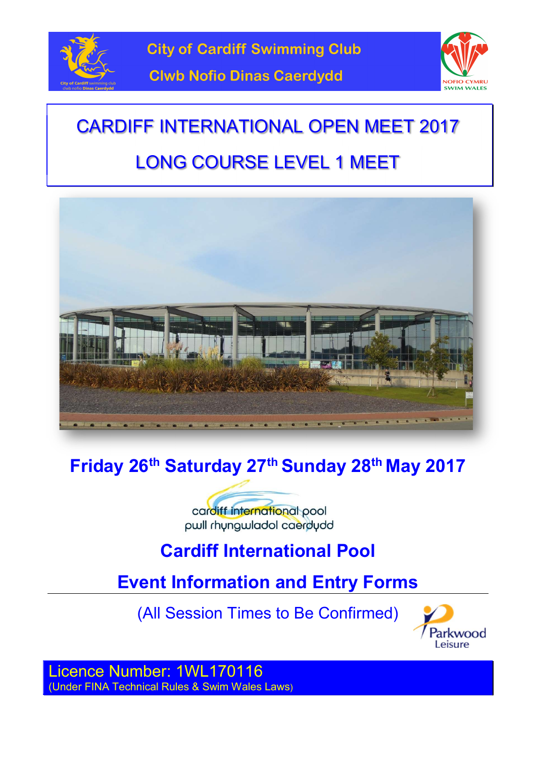



# LONG COURSE LEVEL 1 MEET



# Friday 26<sup>th</sup> Saturday 27<sup>th</sup> Sunday 28<sup>th</sup> May 2017

cardiff international pool pwll rhyngwladol caerdydd

# Cardiff International Pool

# Event Information and Entry Forms

(All Session Times to Be Confirmed)



Licence Number: 1WL170116 (Under FINA Technical Rules & Swim Wales Laws)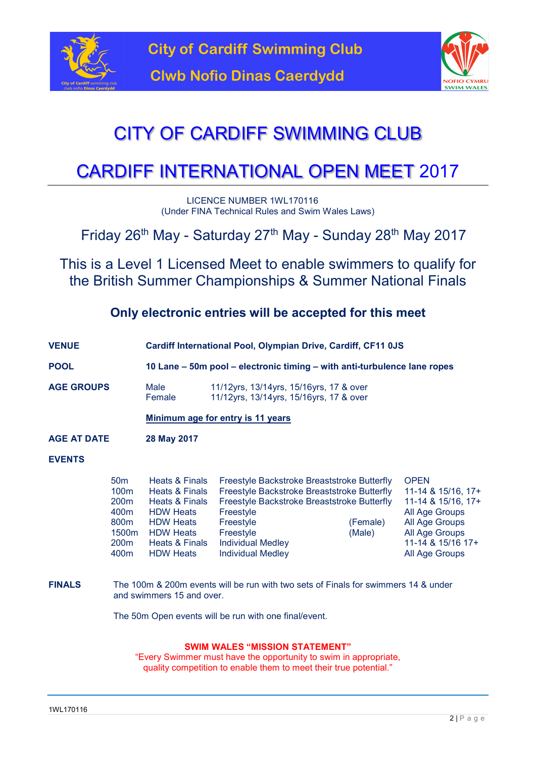



# CITY OF CARDIFF SWIMMING CLUB

# CARDIFF INTERNATIONAL OPEN MEET 2017

LICENCE NUMBER 1WL170116 (Under FINA Technical Rules and Swim Wales Laws)

Friday 26<sup>th</sup> May - Saturday 27<sup>th</sup> May - Sunday 28<sup>th</sup> May 2017

This is a Level 1 Licensed Meet to enable swimmers to qualify for the British Summer Championships & Summer National Finals

### Only electronic entries will be accepted for this meet

- VENUE Cardiff International Pool, Olympian Drive, Cardiff, CF11 0JS
- POOL 10 Lane 50m pool electronic timing with anti-turbulence lane ropes

AGE GROUPS Male 11/12yrs, 13/14yrs, 15/16yrs, 17 & over Female 11/12yrs, 13/14yrs, 15/16yrs, 17 & over

Minimum age for entry is 11 years

AGE AT DATE 28 May 2017

#### EVENTS

| 50 <sub>m</sub>   | <b>Heats &amp; Finals</b> | Freestyle Backstroke Breaststroke Butterfly |          | <b>OPEN</b>        |
|-------------------|---------------------------|---------------------------------------------|----------|--------------------|
| 100 <sub>m</sub>  | Heats & Finals            | Freestyle Backstroke Breaststroke Butterfly |          | 11-14 & 15/16, 17+ |
| 200 <sub>m</sub>  | <b>Heats &amp; Finals</b> | Freestyle Backstroke Breaststroke Butterfly |          | 11-14 & 15/16, 17+ |
| 400 <sub>m</sub>  | <b>HDW Heats</b>          | Freestyle                                   |          | All Age Groups     |
| 800 <sub>m</sub>  | <b>HDW Heats</b>          | Freestyle                                   | (Female) | All Age Groups     |
| 1500 <sub>m</sub> | <b>HDW Heats</b>          | Freestyle                                   | (Male)   | All Age Groups     |
| 200 <sub>m</sub>  | Heats & Finals            | <b>Individual Medley</b>                    |          | 11-14 & 15/16 17+  |
| 400 <sub>m</sub>  | <b>HDW Heats</b>          | <b>Individual Medley</b>                    |          | All Age Groups     |

FINALS The 100m & 200m events will be run with two sets of Finals for swimmers 14 & under and swimmers 15 and over.

The 50m Open events will be run with one final/event.

#### SWIM WALES "MISSION STATEMENT"

"Every Swimmer must have the opportunity to swim in appropriate, quality competition to enable them to meet their true potential."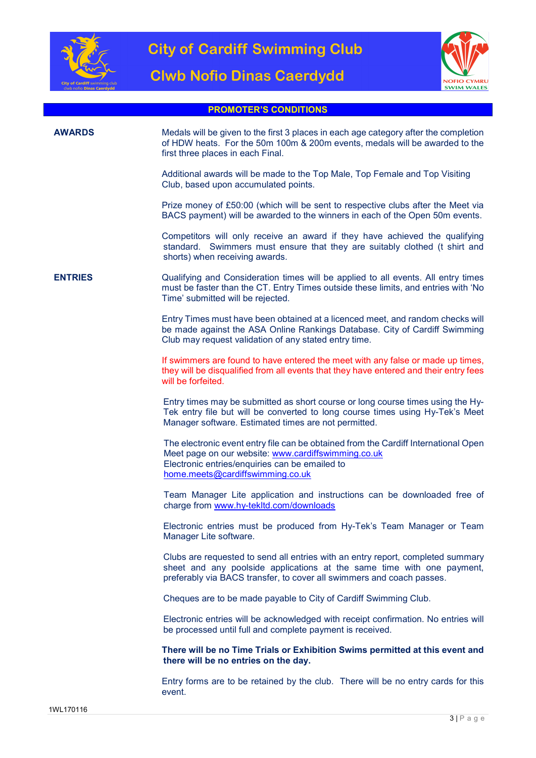

**Clwb Nofio Dinas Caerdydd** 



#### PROMOTER'S CONDITIONS

### AWARDS Medals will be given to the first 3 places in each age category after the completion of HDW heats. For the 50m 100m & 200m events, medals will be awarded to the first three places in each Final. Additional awards will be made to the Top Male, Top Female and Top Visiting Club, based upon accumulated points. Prize money of £50:00 (which will be sent to respective clubs after the Meet via BACS payment) will be awarded to the winners in each of the Open 50m events. Competitors will only receive an award if they have achieved the qualifying standard. Swimmers must ensure that they are suitably clothed (t shirt and shorts) when receiving awards. ENTRIES Qualifying and Consideration times will be applied to all events. All entry times must be faster than the CT. Entry Times outside these limits, and entries with 'No Time' submitted will be rejected. Entry Times must have been obtained at a licenced meet, and random checks will be made against the ASA Online Rankings Database. City of Cardiff Swimming Club may request validation of any stated entry time. If swimmers are found to have entered the meet with any false or made up times, they will be disqualified from all events that they have entered and their entry fees will be forfeited. Entry times may be submitted as short course or long course times using the Hy-Tek entry file but will be converted to long course times using Hy-Tek's Meet Manager software. Estimated times are not permitted. The electronic event entry file can be obtained from the Cardiff International Open Meet page on our website: www.cardiffswimming.co.uk Electronic entries/enquiries can be emailed to home.meets@cardiffswimming.co.uk Team Manager Lite application and instructions can be downloaded free of charge from www.hy-tekltd.com/downloads Electronic entries must be produced from Hy-Tek's Team Manager or Team Manager Lite software. Clubs are requested to send all entries with an entry report, completed summary sheet and any poolside applications at the same time with one payment, preferably via BACS transfer, to cover all swimmers and coach passes. Cheques are to be made payable to City of Cardiff Swimming Club. Electronic entries will be acknowledged with receipt confirmation. No entries will be processed until full and complete payment is received. There will be no Time Trials or Exhibition Swims permitted at this event and there will be no entries on the day. Entry forms are to be retained by the club. There will be no entry cards for this event.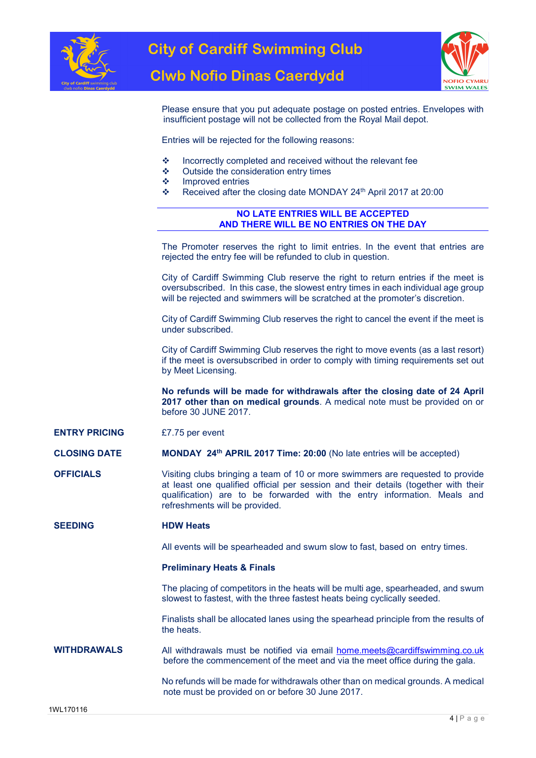

**Clwb Nofio Dinas Caerdydd** 



Please ensure that you put adequate postage on posted entries. Envelopes with insufficient postage will not be collected from the Royal Mail depot.

Entries will be rejected for the following reasons:

- $\cdot$  Incorrectly completed and received without the relevant fee
- ❖ Outside the consideration entry times
- ❖ Improved entries
- \* Received after the closing date MONDAY 24<sup>th</sup> April 2017 at 20:00

#### NO LATE ENTRIES WILL BE ACCEPTED AND THERE WILL BE NO ENTRIES ON THE DAY

The Promoter reserves the right to limit entries. In the event that entries are rejected the entry fee will be refunded to club in question.

City of Cardiff Swimming Club reserve the right to return entries if the meet is oversubscribed. In this case, the slowest entry times in each individual age group will be rejected and swimmers will be scratched at the promoter's discretion.

City of Cardiff Swimming Club reserves the right to cancel the event if the meet is under subscribed.

City of Cardiff Swimming Club reserves the right to move events (as a last resort) if the meet is oversubscribed in order to comply with timing requirements set out by Meet Licensing.

No refunds will be made for withdrawals after the closing date of 24 April 2017 other than on medical grounds. A medical note must be provided on or before 30 JUNE 2017.

#### ENTRY PRICING £7.75 per event

CLOSING DATE MONDAY 24th APRIL 2017 Time: 20:00 (No late entries will be accepted)

OFFICIALS Visiting clubs bringing a team of 10 or more swimmers are requested to provide at least one qualified official per session and their details (together with their qualification) are to be forwarded with the entry information. Meals and refreshments will be provided.

#### SEEDING HDW Heats

All events will be spearheaded and swum slow to fast, based on entry times.

#### Preliminary Heats & Finals

The placing of competitors in the heats will be multi age, spearheaded, and swum slowest to fastest, with the three fastest heats being cyclically seeded.

Finalists shall be allocated lanes using the spearhead principle from the results of the heats.

WITHDRAWALS All withdrawals must be notified via email home.meets@cardiffswimming.co.uk before the commencement of the meet and via the meet office during the gala.

> No refunds will be made for withdrawals other than on medical grounds. A medical note must be provided on or before 30 June 2017.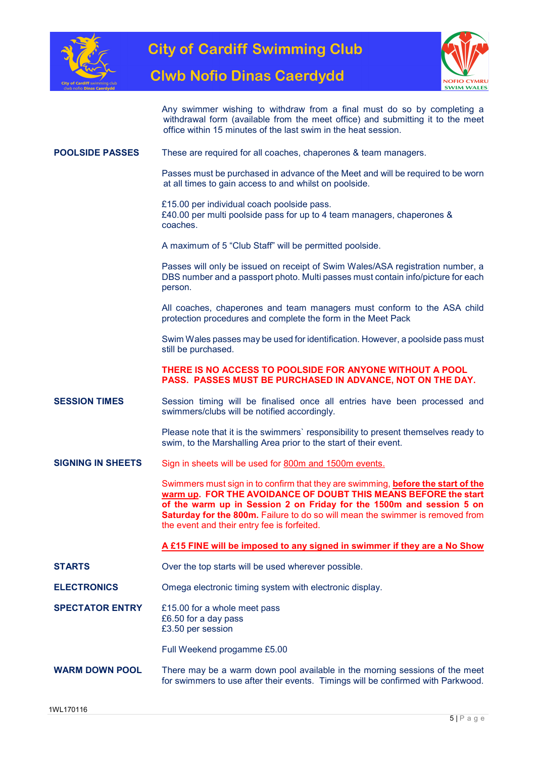

**Clwb Nofio Dinas Caerdydd** 



Any swimmer wishing to withdraw from a final must do so by completing a withdrawal form (available from the meet office) and submitting it to the meet office within 15 minutes of the last swim in the heat session.

#### POOLSIDE PASSES These are required for all coaches, chaperones & team managers.

Passes must be purchased in advance of the Meet and will be required to be worn at all times to gain access to and whilst on poolside.

£15.00 per individual coach poolside pass. £40.00 per multi poolside pass for up to 4 team managers, chaperones & coaches.

A maximum of 5 "Club Staff" will be permitted poolside.

Passes will only be issued on receipt of Swim Wales/ASA registration number, a DBS number and a passport photo. Multi passes must contain info/picture for each person.

All coaches, chaperones and team managers must conform to the ASA child protection procedures and complete the form in the Meet Pack

Swim Wales passes may be used for identification. However, a poolside pass must still be purchased.

#### THERE IS NO ACCESS TO POOLSIDE FOR ANYONE WITHOUT A POOL PASS. PASSES MUST BE PURCHASED IN ADVANCE, NOT ON THE DAY.

**SESSION TIMES** Session timing will be finalised once all entries have been processed and swimmers/clubs will be notified accordingly.

> Please note that it is the swimmers` responsibility to present themselves ready to swim, to the Marshalling Area prior to the start of their event.

SIGNING IN SHEETS Sign in sheets will be used for 800m and 1500m events.

Swimmers must sign in to confirm that they are swimming, **before the start of the** warm up. FOR THE AVOIDANCE OF DOUBT THIS MEANS BEFORE the start of the warm up in Session 2 on Friday for the 1500m and session 5 on **Saturday for the 800m.** Failure to do so will mean the swimmer is removed from the event and their entry fee is forfeited.

#### A £15 FINE will be imposed to any signed in swimmer if they are a No Show

- STARTS Over the top starts will be used wherever possible.
- ELECTRONICS Omega electronic timing system with electronic display.
- SPECTATOR ENTRY E15.00 for a whole meet pass £6.50 for a day pass £3.50 per session

Full Weekend progamme £5.00

WARM DOWN POOL There may be a warm down pool available in the morning sessions of the meet for swimmers to use after their events. Timings will be confirmed with Parkwood.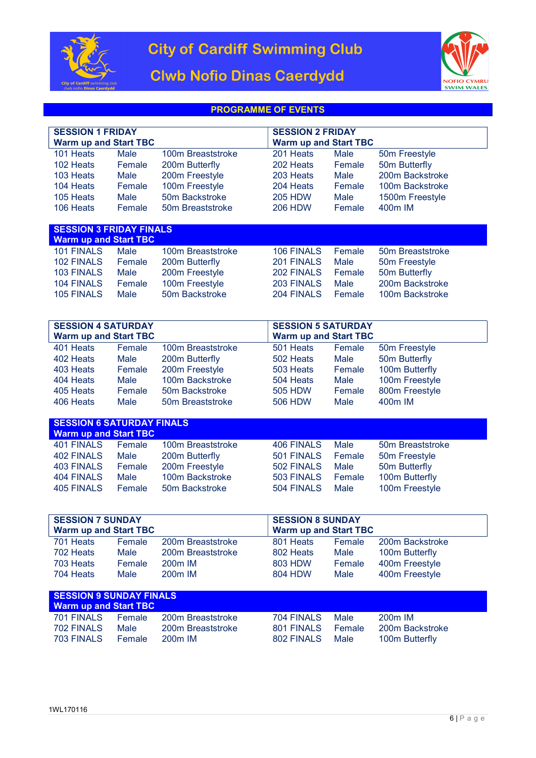

## **Clwb Nofio Dinas Caerdydd**



### PROGRAMME OF EVENTS

| <b>SESSION 1 FRIDAY</b>      |        |                   |                              |                         |                     |  |  |
|------------------------------|--------|-------------------|------------------------------|-------------------------|---------------------|--|--|
|                              |        |                   |                              | <b>SESSION 2 FRIDAY</b> |                     |  |  |
| <b>Warm up and Start TBC</b> |        |                   | <b>Warm up and Start TBC</b> |                         |                     |  |  |
| 101 Heats                    | Male   | 100m Breaststroke | 201 Heats                    | Male                    | 50m Freestyle       |  |  |
| 102 Heats                    | Female | 200m Butterfly    | 202 Heats                    | Female                  | 50m Butterfly       |  |  |
| 103 Heats                    | Male   | 200m Freestyle    | 203 Heats                    | Male                    | 200m Backstroke     |  |  |
| 104 Heats                    | Female | 100m Freestyle    | 204 Heats                    | Female                  | 100m Backstroke     |  |  |
| 105 Heats                    | Male   | 50m Backstroke    | <b>205 HDW</b>               | Male                    | 1500m Freestyle     |  |  |
| 106 Heats                    | Female | 50m Breaststroke  | 206 HDW                      | Female                  | 400 <sub>m</sub> IM |  |  |
|                              |        |                   |                              |                         |                     |  |  |

| <b>SESSION 3 FRIDAY FINALS</b><br><b>Warm up and Start TBC</b> |        |                   |            |        |                  |
|----------------------------------------------------------------|--------|-------------------|------------|--------|------------------|
| 101 FINALS                                                     | Male   | 100m Breaststroke | 106 FINALS | Female | 50m Breaststroke |
| 102 FINALS                                                     | Female | 200m Butterfly    | 201 FINALS | Male   | 50m Freestyle    |
| 103 FINALS                                                     | Male   | 200m Freestyle    | 202 FINALS | Female | 50m Butterfly    |
| 104 FINALS                                                     | Female | 100m Freestyle    | 203 FINALS | Male   | 200m Backstroke  |
| 105 FINALS                                                     | Male   | 50m Backstroke    | 204 FINALS | Female | 100m Backstroke  |

| <b>SESSION 4 SATURDAY</b><br><b>Warm up and Start TBC</b> |        |                   |           | <b>SESSION 5 SATURDAY</b><br><b>Warm up and Start TBC</b> |                |  |
|-----------------------------------------------------------|--------|-------------------|-----------|-----------------------------------------------------------|----------------|--|
| 401 Heats                                                 | Female | 100m Breaststroke | 501 Heats | Female                                                    | 50m Freestyle  |  |
| 402 Heats                                                 | Male   | 200m Butterfly    | 502 Heats | Male                                                      | 50m Butterfly  |  |
| 403 Heats                                                 | Female | 200m Freestyle    | 503 Heats | Female                                                    | 100m Butterfly |  |
| 404 Heats                                                 | Male   | 100m Backstroke   | 504 Heats | Male                                                      | 100m Freestyle |  |
| 405 Heats                                                 | Female | 50m Backstroke    | 505 HDW   | Female                                                    | 800m Freestyle |  |
| 406 Heats                                                 | Male   | 50m Breaststroke  | 506 HDW   | Male                                                      | 400m IM        |  |
|                                                           |        |                   |           |                                                           |                |  |

| <b>SESSION 6 SATURDAY FINALS</b><br><b>Warm up and Start TBC</b> |        |                   |            |        |                  |  |  |  |
|------------------------------------------------------------------|--------|-------------------|------------|--------|------------------|--|--|--|
| 401 FINALS                                                       | Female | 100m Breaststroke | 406 FINALS | Male   | 50m Breaststroke |  |  |  |
| 402 FINALS                                                       | Male   | 200m Butterfly    | 501 FINALS | Female | 50m Freestyle    |  |  |  |
| 403 FINALS                                                       | Female | 200m Freestyle    | 502 FINALS | Male   | 50m Butterfly    |  |  |  |
| 404 FINALS                                                       | Male   | 100m Backstroke   | 503 FINALS | Female | 100m Butterfly   |  |  |  |
| 405 FINALS                                                       | Female | 50m Backstroke    | 504 FINALS | Male   | 100m Freestyle   |  |  |  |
|                                                                  |        |                   |            |        |                  |  |  |  |

| <b>SESSION 7 SUNDAY</b><br><b>Warm up and Start TBC</b> |        |                     |           | <b>SESSION 8 SUNDAY</b><br><b>Warm up and Start TBC</b> |                 |  |  |  |
|---------------------------------------------------------|--------|---------------------|-----------|---------------------------------------------------------|-----------------|--|--|--|
| 701 Heats                                               | Female | 200m Breaststroke   | 801 Heats | Female                                                  | 200m Backstroke |  |  |  |
| 702 Heats                                               | Male   | 200m Breaststroke   | 802 Heats | Male                                                    | 100m Butterfly  |  |  |  |
| 703 Heats                                               | Female | 200 <sub>m</sub> IM | 803 HDW   | Female                                                  | 400m Freestyle  |  |  |  |
| 704 Heats                                               | Male   | 200 <sub>m</sub> IM | 804 HDW   | Male                                                    | 400m Freestyle  |  |  |  |
|                                                         |        |                     |           |                                                         |                 |  |  |  |
| <b>SESSION 9 SUNDAY FINALS</b>                          |        |                     |           |                                                         |                 |  |  |  |

| <b>Warm up and Start TBC</b> |               |                   |            |               |                 |
|------------------------------|---------------|-------------------|------------|---------------|-----------------|
| 701 FINALS                   | <b>Female</b> | 200m Breaststroke | 704 FINALS | Male          | $200m$ IM       |
| 702 FINALS                   | Male          | 200m Breaststroke | 801 FINALS | <b>Female</b> | 200m Backstroke |
| 703 FINALS                   | <b>Female</b> | $200m$ IM         | 802 FINALS | Male          | 100m Butterfly  |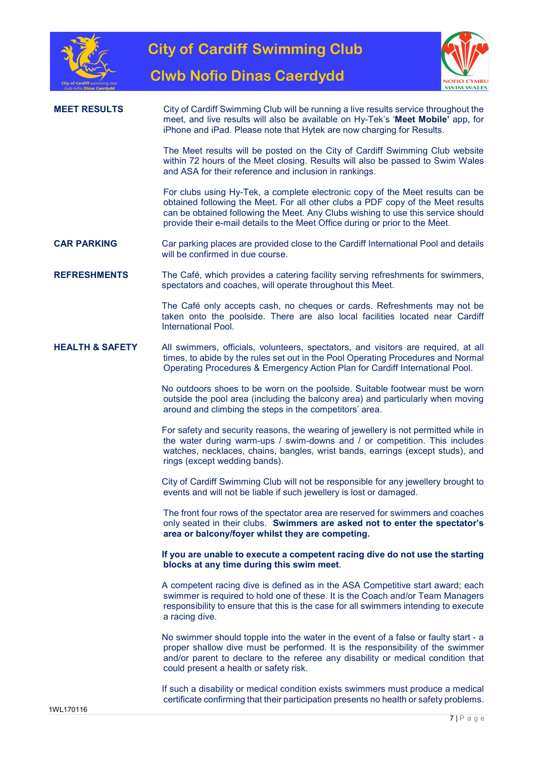





### MEET RESULTS City of Cardiff Swimming Club will be running a live results service throughout the meet, and live results will also be available on Hy-Tek's 'Meet Mobile' app, for iPhone and iPad. Please note that Hytek are now charging for Results.

The Meet results will be posted on the City of Cardiff Swimming Club website within 72 hours of the Meet closing. Results will also be passed to Swim Wales and ASA for their reference and inclusion in rankings.

For clubs using Hy-Tek, a complete electronic copy of the Meet results can be obtained following the Meet. For all other clubs a PDF copy of the Meet results can be obtained following the Meet. Any Clubs wishing to use this service should provide their e-mail details to the Meet Office during or prior to the Meet.

**CAR PARKING** Car parking places are provided close to the Cardiff International Pool and details will be confirmed in due course.

REFRESHMENTS The Café, which provides a catering facility serving refreshments for swimmers, spectators and coaches, will operate throughout this Meet.

> The Café only accepts cash, no cheques or cards. Refreshments may not be taken onto the poolside. There are also local facilities located near Cardiff International Pool.

HEALTH & SAFETY All swimmers, officials, volunteers, spectators, and visitors are required, at all times, to abide by the rules set out in the Pool Operating Procedures and Normal Operating Procedures & Emergency Action Plan for Cardiff International Pool.

> No outdoors shoes to be worn on the poolside. Suitable footwear must be worn outside the pool area (including the balcony area) and particularly when moving around and climbing the steps in the competitors' area.

> For safety and security reasons, the wearing of jewellery is not permitted while in the water during warm-ups / swim-downs and / or competition. This includes watches, necklaces, chains, bangles, wrist bands, earrings (except studs), and rings (except wedding bands).

> City of Cardiff Swimming Club will not be responsible for any jewellery brought to events and will not be liable if such jewellery is lost or damaged.

> The front four rows of the spectator area are reserved for swimmers and coaches only seated in their clubs. Swimmers are asked not to enter the spectator's area or balcony/foyer whilst they are competing.

> If you are unable to execute a competent racing dive do not use the starting blocks at any time during this swim meet.

> A competent racing dive is defined as in the ASA Competitive start award; each swimmer is required to hold one of these. It is the Coach and/or Team Managers responsibility to ensure that this is the case for all swimmers intending to execute a racing dive.

> No swimmer should topple into the water in the event of a false or faulty start - a proper shallow dive must be performed. It is the responsibility of the swimmer and/or parent to declare to the referee any disability or medical condition that could present a health or safety risk.

> If such a disability or medical condition exists swimmers must produce a medical certificate confirming that their participation presents no health or safety problems.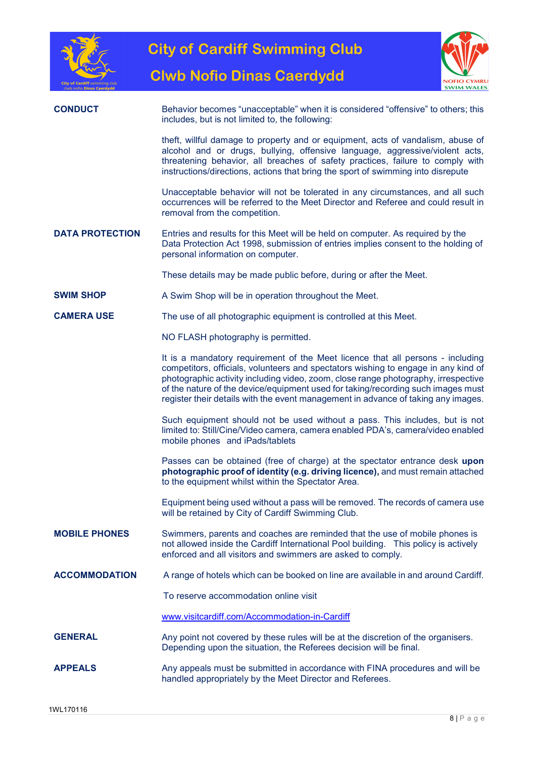



**Clwb Nofio Dinas Caerdydd** 

| clwb notio <b>Dinas Caerdvdc</b> | <b>SWIM WALES</b>                                                                                                                                                                                                                                                                                                                                                                                                                   |
|----------------------------------|-------------------------------------------------------------------------------------------------------------------------------------------------------------------------------------------------------------------------------------------------------------------------------------------------------------------------------------------------------------------------------------------------------------------------------------|
| <b>CONDUCT</b>                   | Behavior becomes "unacceptable" when it is considered "offensive" to others; this<br>includes, but is not limited to, the following:                                                                                                                                                                                                                                                                                                |
|                                  | theft, willful damage to property and or equipment, acts of vandalism, abuse of<br>alcohol and or drugs, bullying, offensive language, aggressive/violent acts,<br>threatening behavior, all breaches of safety practices, failure to comply with<br>instructions/directions, actions that bring the sport of swimming into disrepute                                                                                               |
|                                  | Unacceptable behavior will not be tolerated in any circumstances, and all such<br>occurrences will be referred to the Meet Director and Referee and could result in<br>removal from the competition.                                                                                                                                                                                                                                |
| <b>DATA PROTECTION</b>           | Entries and results for this Meet will be held on computer. As required by the<br>Data Protection Act 1998, submission of entries implies consent to the holding of<br>personal information on computer.                                                                                                                                                                                                                            |
|                                  | These details may be made public before, during or after the Meet.                                                                                                                                                                                                                                                                                                                                                                  |
| <b>SWIM SHOP</b>                 | A Swim Shop will be in operation throughout the Meet.                                                                                                                                                                                                                                                                                                                                                                               |
| <b>CAMERA USE</b>                | The use of all photographic equipment is controlled at this Meet.                                                                                                                                                                                                                                                                                                                                                                   |
|                                  | NO FLASH photography is permitted.                                                                                                                                                                                                                                                                                                                                                                                                  |
|                                  | It is a mandatory requirement of the Meet licence that all persons - including<br>competitors, officials, volunteers and spectators wishing to engage in any kind of<br>photographic activity including video, zoom, close range photography, irrespective<br>of the nature of the device/equipment used for taking/recording such images must<br>register their details with the event management in advance of taking any images. |
|                                  | Such equipment should not be used without a pass. This includes, but is not<br>limited to: Still/Cine/Video camera, camera enabled PDA's, camera/video enabled<br>mobile phones and iPads/tablets                                                                                                                                                                                                                                   |
|                                  | Passes can be obtained (free of charge) at the spectator entrance desk upon<br>photographic proof of identity (e.g. driving licence), and must remain attached<br>to the equipment whilst within the Spectator Area.                                                                                                                                                                                                                |
|                                  | Equipment being used without a pass will be removed. The records of camera use<br>will be retained by City of Cardiff Swimming Club.                                                                                                                                                                                                                                                                                                |
| <b>MOBILE PHONES</b>             | Swimmers, parents and coaches are reminded that the use of mobile phones is<br>not allowed inside the Cardiff International Pool building. This policy is actively<br>enforced and all visitors and swimmers are asked to comply.                                                                                                                                                                                                   |
| <b>ACCOMMODATION</b>             | A range of hotels which can be booked on line are available in and around Cardiff.                                                                                                                                                                                                                                                                                                                                                  |
|                                  | To reserve accommodation online visit                                                                                                                                                                                                                                                                                                                                                                                               |
|                                  | www.visitcardiff.com/Accommodation-in-Cardiff                                                                                                                                                                                                                                                                                                                                                                                       |
| <b>GENERAL</b>                   | Any point not covered by these rules will be at the discretion of the organisers.<br>Depending upon the situation, the Referees decision will be final.                                                                                                                                                                                                                                                                             |
| <b>APPEALS</b>                   | Any appeals must be submitted in accordance with FINA procedures and will be<br>handled appropriately by the Meet Director and Referees.                                                                                                                                                                                                                                                                                            |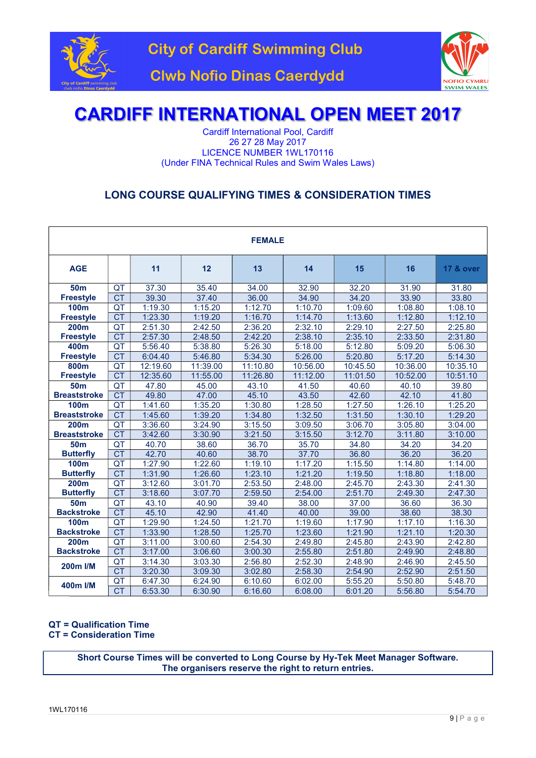



Cardiff International Pool, Cardiff 26 27 28 May 2017 LICENCE NUMBER 1WL170116 (Under FINA Technical Rules and Swim Wales Laws)

### LONG COURSE QUALIFYING TIMES & CONSIDERATION TIMES

| <b>FEMALE</b>       |                                      |          |          |          |          |          |          |                      |
|---------------------|--------------------------------------|----------|----------|----------|----------|----------|----------|----------------------|
| <b>AGE</b>          |                                      | 11       | 12       | 13       | 14       | 15       | 16       | <b>17 &amp; over</b> |
| <b>50m</b>          | QT                                   | 37.30    | 35.40    | 34.00    | 32.90    | 32.20    | 31.90    | 31.80                |
| <b>Freestyle</b>    | CT                                   | 39.30    | 37.40    | 36.00    | 34.90    | 34.20    | 33.90    | 33.80                |
| <b>100m</b>         | QT                                   | 1:19.30  | 1:15.20  | 1:12.70  | 1:10.70  | 1:09.60  | 1:08.80  | 1:08.10              |
| <b>Freestyle</b>    | CT                                   | 1:23.30  | 1:19.20  | 1:16.70  | 1:14.70  | 1:13.60  | 1:12.80  | 1:12.10              |
| <b>200m</b>         | $\overline{\mathsf{QT}}$             | 2:51.30  | 2:42.50  | 2:36.20  | 2:32.10  | 2:29.10  | 2:27.50  | 2:25.80              |
| <b>Freestyle</b>    | CT                                   | 2:57.30  | 2:48.50  | 2:42.20  | 2:38.10  | 2:35.10  | 2:33.50  | 2:31.80              |
| 400m                | $\overline{\mathsf{QT}}$             | 5:56.40  | 5:38.80  | 5:26.30  | 5:18.00  | 5:12.80  | 5:09.20  | 5:06.30              |
| <b>Freestyle</b>    | <b>CT</b>                            | 6:04.40  | 5:46.80  | 5:34.30  | 5:26.00  | 5:20.80  | 5:17.20  | 5:14.30              |
| 800m                | QT                                   | 12:19.60 | 11:39.00 | 11:10.80 | 10:56.00 | 10:45.50 | 10:36.00 | 10:35.10             |
| <b>Freestyle</b>    | CT                                   | 12:35.60 | 11:55.00 | 11:26.80 | 11:12.00 | 11:01.50 | 10:52.00 | 10:51.10             |
| <b>50m</b>          | $\overline{\mathsf{Q}^{\mathsf{T}}}$ | 47.80    | 45.00    | 43.10    | 41.50    | 40.60    | 40.10    | 39.80                |
| <b>Breaststroke</b> | CT                                   | 49.80    | 47.00    | 45.10    | 43.50    | 42.60    | 42.10    | 41.80                |
| <b>100m</b>         | QT                                   | 1:41.60  | 1:35.20  | 1:30.80  | 1:28.50  | 1:27.50  | 1:26.10  | 1:25.20              |
| <b>Breaststroke</b> | CT                                   | 1:45.60  | 1:39.20  | 1:34.80  | 1:32.50  | 1:31.50  | 1:30.10  | 1:29.20              |
| 200 <sub>m</sub>    | QT                                   | 3:36.60  | 3:24.90  | 3:15.50  | 3:09.50  | 3:06.70  | 3:05.80  | 3:04.00              |
| <b>Breaststroke</b> | <b>CT</b>                            | 3:42.60  | 3:30.90  | 3:21.50  | 3:15.50  | 3:12.70  | 3:11.80  | 3:10.00              |
| <b>50m</b>          | QT                                   | 40.70    | 38.60    | 36.70    | 35.70    | 34.80    | 34.20    | 34.20                |
| <b>Butterfly</b>    | <b>CT</b>                            | 42.70    | 40.60    | 38.70    | 37.70    | 36.80    | 36.20    | 36.20                |
| <b>100m</b>         | QT                                   | 1:27.90  | 1:22.60  | 1:19.10  | 1:17.20  | 1:15.50  | 1:14.80  | 1:14.00              |
| <b>Butterfly</b>    | $\overline{CT}$                      | 1:31.90  | 1:26.60  | 1:23.10  | 1:21.20  | 1:19.50  | 1:18.80  | 1:18.00              |
| <b>200m</b>         | QT                                   | 3:12.60  | 3:01.70  | 2:53.50  | 2:48.00  | 2:45.70  | 2:43.30  | 2:41.30              |
| <b>Butterfly</b>    | $\overline{CT}$                      | 3:18.60  | 3:07.70  | 2:59.50  | 2:54.00  | 2:51.70  | 2:49.30  | 2:47.30              |
| <b>50m</b>          | QT                                   | 43.10    | 40.90    | 39.40    | 38.00    | 37.00    | 36.60    | 36.30                |
| <b>Backstroke</b>   | CT                                   | 45.10    | 42.90    | 41.40    | 40.00    | 39.00    | 38.60    | 38.30                |
| <b>100m</b>         | QT                                   | 1:29.90  | 1:24.50  | 1:21.70  | 1:19.60  | 1:17.90  | 1:17.10  | 1:16.30              |
| <b>Backstroke</b>   | CT                                   | 1:33.90  | 1:28.50  | 1:25.70  | 1:23.60  | 1:21.90  | 1:21.10  | 1:20.30              |
| <b>200m</b>         | $\overline{\mathsf{Q}}$              | 3:11.00  | 3:00.60  | 2:54.30  | 2:49.80  | 2:45.80  | 2:43.90  | 2:42.80              |
| <b>Backstroke</b>   | $\overline{CT}$                      | 3:17.00  | 3:06.60  | 3:00.30  | 2:55.80  | 2:51.80  | 2:49.90  | 2:48.80              |
| 200m I/M            | QT                                   | 3:14.30  | 3:03.30  | 2:56.80  | 2:52.30  | 2:48.90  | 2:46.90  | 2:45.50              |
|                     | $\overline{CT}$                      | 3:20.30  | 3:09.30  | 3:02.80  | 2:58.30  | 2:54.90  | 2:52.90  | 2:51.50              |
| 400m I/M            | QT                                   | 6:47.30  | 6:24.90  | 6:10.60  | 6:02.00  | 5:55.20  | 5:50.80  | 5:48.70              |
|                     | $\overline{\text{CT}}$               | 6:53.30  | 6:30.90  | 6:16.60  | 6:08.00  | 6:01.20  | 5:56.80  | 5:54.70              |

### QT = Qualification Time

CT = Consideration Time

Short Course Times will be converted to Long Course by Hy-Tek Meet Manager Software. The organisers reserve the right to return entries.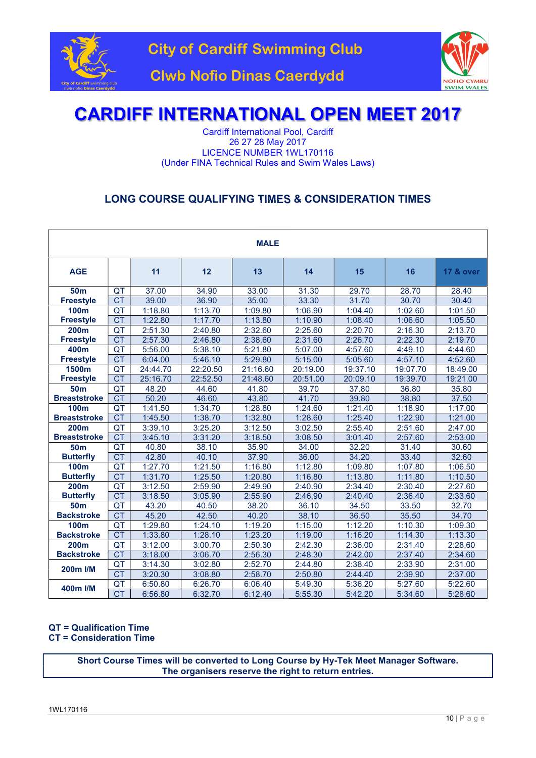



Cardiff International Pool, Cardiff 26 27 28 May 2017 LICENCE NUMBER 1WL170116 (Under FINA Technical Rules and Swim Wales Laws)

### LONG COURSE QUALIFYING TIMES & CONSIDERATION TIMES

| <b>MALE</b>         |                                      |          |          |          |          |          |          |                      |
|---------------------|--------------------------------------|----------|----------|----------|----------|----------|----------|----------------------|
| <b>AGE</b>          |                                      | 11       | 12       | 13       | 14       | 15       | 16       | <b>17 &amp; over</b> |
| 50 <sub>m</sub>     | QT                                   | 37.00    | 34.90    | 33.00    | 31.30    | 29.70    | 28.70    | 28.40                |
| <b>Freestyle</b>    | CT                                   | 39.00    | 36.90    | 35.00    | 33.30    | 31.70    | 30.70    | 30.40                |
| <b>100m</b>         | QT                                   | 1:18.80  | 1:13.70  | 1:09.80  | 1:06.90  | 1:04.40  | 1:02.60  | 1:01.50              |
| <b>Freestyle</b>    | <b>CT</b>                            | 1:22.80  | 1:17.70  | 1:13.80  | 1:10.90  | 1:08.40  | 1:06.60  | 1:05.50              |
| <b>200m</b>         | $\overline{\mathsf{Q}^{\mathsf{T}}}$ | 2:51.30  | 2:40.80  | 2:32.60  | 2:25.60  | 2:20.70  | 2:16.30  | 2:13.70              |
| <b>Freestyle</b>    | CT                                   | 2:57.30  | 2:46.80  | 2:38.60  | 2:31.60  | 2:26.70  | 2:22.30  | 2:19.70              |
| 400m                | $\overline{\mathsf{Q}^{\mathsf{T}}}$ | 5:56.00  | 5:38.10  | 5:21.80  | 5:07.00  | 4:57.60  | 4:49.10  | 4:44.60              |
| <b>Freestyle</b>    | CT                                   | 6:04.00  | 5:46.10  | 5:29.80  | 5:15.00  | 5:05.60  | 4:57.10  | 4:52.60              |
| 1500m               | QT                                   | 24:44.70 | 22:20.50 | 21:16.60 | 20:19.00 | 19:37.10 | 19:07.70 | 18:49.00             |
| <b>Freestyle</b>    | <b>CT</b>                            | 25:16.70 | 22:52.50 | 21:48.60 | 20:51.00 | 20:09.10 | 19:39.70 | 19:21.00             |
| <b>50m</b>          | $\overline{\mathsf{Q}^{\mathsf{T}}}$ | 48.20    | 44.60    | 41.80    | 39.70    | 37.80    | 36.80    | 35.80                |
| <b>Breaststroke</b> | CT                                   | 50.20    | 46.60    | 43.80    | 41.70    | 39.80    | 38.80    | 37.50                |
| <b>100m</b>         | $\overline{\mathsf{QT}}$             | 1:41.50  | 1:34.70  | 1:28.80  | 1:24.60  | 1:21.40  | 1:18.90  | 1:17.00              |
| <b>Breaststroke</b> | <b>CT</b>                            | 1:45.50  | 1:38.70  | 1:32.80  | 1:28.60  | 1:25.40  | 1:22.90  | 1:21.00              |
| 200 <sub>m</sub>    | $\overline{\mathsf{Q}^{\mathsf{T}}}$ | 3:39.10  | 3:25.20  | 3:12.50  | 3:02.50  | 2:55.40  | 2:51.60  | 2:47.00              |
| <b>Breaststroke</b> | CT                                   | 3:45.10  | 3:31.20  | 3:18.50  | 3:08.50  | 3:01.40  | 2:57.60  | 2:53.00              |
| <b>50m</b>          | QT                                   | 40.80    | 38.10    | 35.90    | 34.00    | 32.20    | 31.40    | 30.60                |
| <b>Butterfly</b>    | $\overline{\text{CT}}$               | 42.80    | 40.10    | 37.90    | 36.00    | 34.20    | 33.40    | 32.60                |
| <b>100m</b>         | QT                                   | 1:27.70  | 1:21.50  | 1:16.80  | 1:12.80  | 1:09.80  | 1:07.80  | 1:06.50              |
| <b>Butterfly</b>    | CT                                   | 1:31.70  | 1:25.50  | 1:20.80  | 1:16.80  | 1:13.80  | 1:11.80  | 1:10.50              |
| <b>200m</b>         | $\overline{\mathsf{QT}}$             | 3:12.50  | 2:59.90  | 2:49.90  | 2:40.90  | 2:34.40  | 2:30.40  | 2:27.60              |
| <b>Butterfly</b>    | $\overline{\text{CT}}$               | 3:18.50  | 3:05.90  | 2:55.90  | 2:46.90  | 2:40.40  | 2:36.40  | 2:33.60              |
| <b>50m</b>          | QT                                   | 43.20    | 40.50    | 38.20    | 36.10    | 34.50    | 33.50    | 32.70                |
| <b>Backstroke</b>   | CT                                   | 45.20    | 42.50    | 40.20    | 38.10    | 36.50    | 35.50    | 34.70                |
| <b>100m</b>         | QT                                   | 1:29.80  | 1:24.10  | 1:19.20  | 1:15.00  | 1:12.20  | 1:10.30  | 1:09.30              |
| <b>Backstroke</b>   | $\overline{CT}$                      | 1:33.80  | 1:28.10  | 1:23.20  | 1:19.00  | 1:16.20  | 1:14.30  | 1:13.30              |
| 200m                | QT                                   | 3:12.00  | 3:00.70  | 2:50.30  | 2:42.30  | 2:36.00  | 2:31.40  | 2:28.60              |
| <b>Backstroke</b>   | CT                                   | 3:18.00  | 3:06.70  | 2:56.30  | 2:48.30  | 2:42.00  | 2:37.40  | 2:34.60              |
| 200m I/M            | QT                                   | 3:14.30  | 3:02.80  | 2:52.70  | 2:44.80  | 2:38.40  | 2:33.90  | 2:31.00              |
|                     | <b>CT</b>                            | 3:20.30  | 3:08.80  | 2:58.70  | 2:50.80  | 2:44.40  | 2:39.90  | 2:37.00              |
| 400m I/M            | QT                                   | 6:50.80  | 6:26.70  | 6:06.40  | 5:49.30  | 5:36.20  | 5:27.60  | 5:22.60              |
|                     | CT                                   | 6:56.80  | 6:32.70  | 6:12.40  | 5:55.30  | 5:42.20  | 5:34.60  | 5:28.60              |

### QT = Qualification Time

CT = Consideration Time

Short Course Times will be converted to Long Course by Hy-Tek Meet Manager Software. The organisers reserve the right to return entries.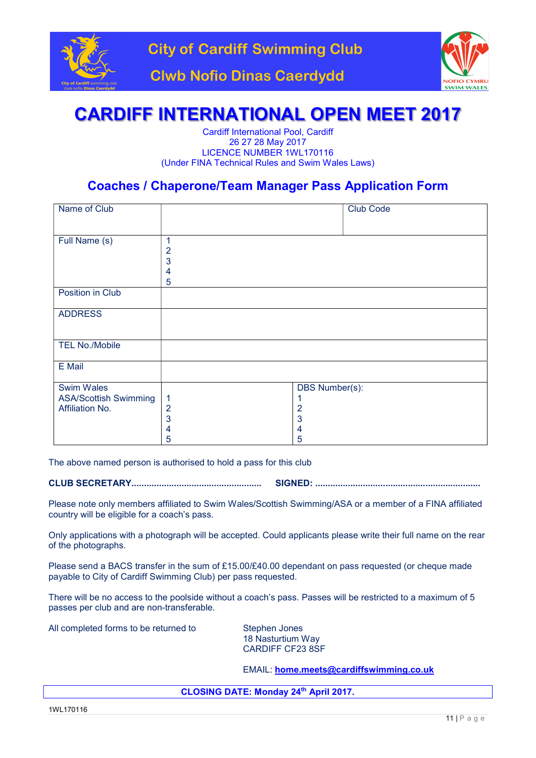



Cardiff International Pool, Cardiff 26 27 28 May 2017 LICENCE NUMBER 1WL170116 (Under FINA Technical Rules and Swim Wales Laws)

### Coaches / Chaperone/Team Manager Pass Application Form

| Name of Club                                                         |                                                 | <b>Club Code</b>                                       |
|----------------------------------------------------------------------|-------------------------------------------------|--------------------------------------------------------|
| Full Name (s)                                                        | 1<br>$\overline{2}$<br>3<br>4<br>$\overline{5}$ |                                                        |
| Position in Club                                                     |                                                 |                                                        |
| <b>ADDRESS</b>                                                       |                                                 |                                                        |
| <b>TEL No./Mobile</b>                                                |                                                 |                                                        |
| E Mail                                                               |                                                 |                                                        |
| <b>Swim Wales</b><br><b>ASA/Scottish Swimming</b><br>Affiliation No. | 1<br>$\overline{2}$<br>3<br>4<br>5              | <b>DBS Number(s):</b><br>$\overline{2}$<br>3<br>4<br>5 |

The above named person is authorised to hold a pass for this club

CLUB SECRETARY.................................................... SIGNED: ..................................................................

Please note only members affiliated to Swim Wales/Scottish Swimming/ASA or a member of a FINA affiliated country will be eligible for a coach's pass.

Only applications with a photograph will be accepted. Could applicants please write their full name on the rear of the photographs.

Please send a BACS transfer in the sum of £15.00/£40.00 dependant on pass requested (or cheque made payable to City of Cardiff Swimming Club) per pass requested.

There will be no access to the poolside without a coach's pass. Passes will be restricted to a maximum of 5 passes per club and are non-transferable.

All completed forms to be returned to Stephen Jones

 18 Nasturtium Way CARDIFF CF23 8SF

EMAIL: home.meets@cardiffswimming.co.uk

CLOSING DATE: Monday 24th April 2017.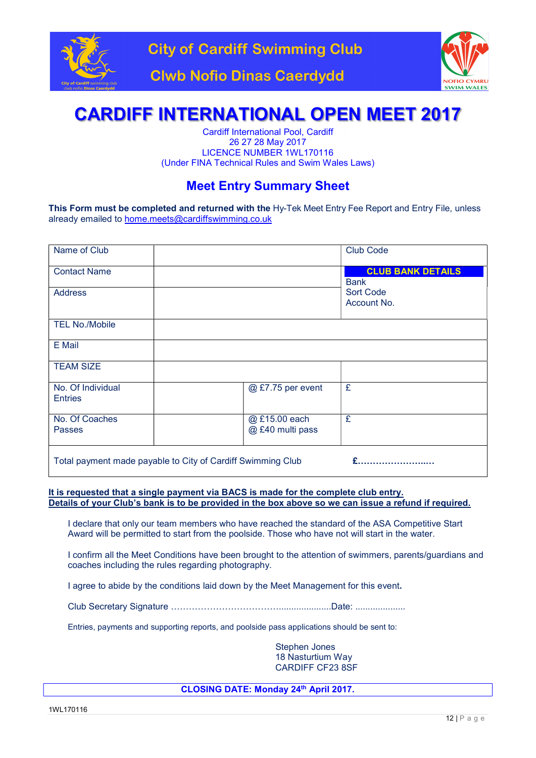



Cardiff International Pool, Cardiff 26 27 28 May 2017 LICENCE NUMBER 1WL170116 (Under FINA Technical Rules and Swim Wales Laws)

### Meet Entry Summary Sheet

This Form must be completed and returned with the Hy-Tek Meet Entry Fee Report and Entry File, unless already emailed to home.meets@cardiffswimming.co.uk

| Name of Club                                                |                                   | <b>Club Code</b>                        |
|-------------------------------------------------------------|-----------------------------------|-----------------------------------------|
| <b>Contact Name</b>                                         |                                   | <b>CLUB BANK DETAILS</b><br><b>Bank</b> |
| <b>Address</b>                                              |                                   | <b>Sort Code</b><br>Account No.         |
| <b>TEL No./Mobile</b>                                       |                                   |                                         |
| E Mail                                                      |                                   |                                         |
| <b>TEAM SIZE</b>                                            |                                   |                                         |
| No. Of Individual<br><b>Entries</b>                         | @ £7.75 per event                 | £                                       |
| No. Of Coaches<br><b>Passes</b>                             | @ £15.00 each<br>@ £40 multi pass | £                                       |
| Total payment made payable to City of Cardiff Swimming Club |                                   |                                         |

It is requested that a single payment via BACS is made for the complete club entry. Details of your Club's bank is to be provided in the box above so we can issue a refund if required.

I declare that only our team members who have reached the standard of the ASA Competitive Start Award will be permitted to start from the poolside. Those who have not will start in the water.

I confirm all the Meet Conditions have been brought to the attention of swimmers, parents/guardians and coaches including the rules regarding photography.

I agree to abide by the conditions laid down by the Meet Management for this event.

Club Secretary Signature ……………………………….....................Date: ....................

Entries, payments and supporting reports, and poolside pass applications should be sent to:

 Stephen Jones 18 Nasturtium Way CARDIFF CF23 8SF

CLOSING DATE: Monday 24th April 2017.